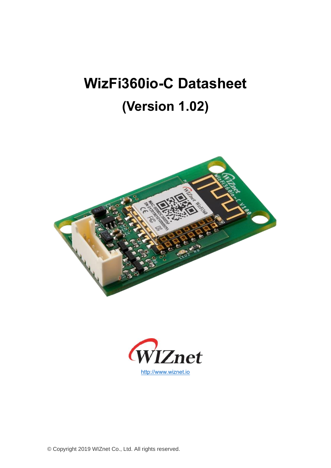# **WizFi360io-C Datasheet (Version 1.02)**





© Copyright 2019 WIZnet Co., Ltd. All rights reserved.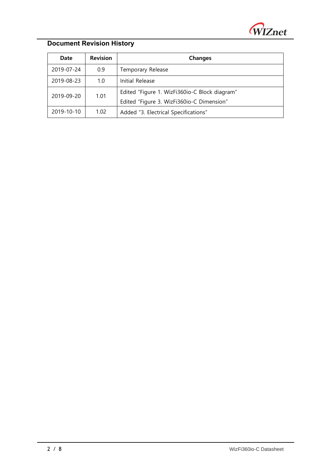

#### **Document Revision History**

| Date       | <b>Revision</b>                                           | <b>Changes</b>                                |  |
|------------|-----------------------------------------------------------|-----------------------------------------------|--|
| 2019-07-24 | 0.9                                                       | Temporary Release                             |  |
| 2019-08-23 | 1.0                                                       | Initial Release                               |  |
| 2019-09-20 | 1.01                                                      | Edited "Figure 1. WizFi360io-C Block diagram" |  |
|            |                                                           | Edited "Figure 3. WizFi360io-C Dimension"     |  |
| 2019-10-10 | 1.02 <sub>1</sub><br>Added "3. Electrical Specifications" |                                               |  |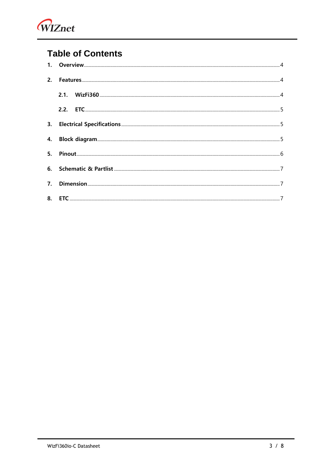

#### **Table of Contents**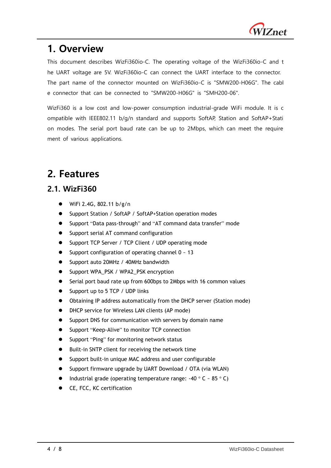

#### <span id="page-3-0"></span>**1. Overview**

This document describes WizFi360io-C. The operating voltage of the WizFi360io-C and t he UART voltage are 5V. WizFi360io-C can connect the UART interface to the connector. The part name of the connector mounted on WizFi360io-C is "SMW200-H06G". The cabl e connector that can be connected to "SMW200-H06G" is "SMH200-06".

WizFi360 is a low cost and low-power consumption industrial-grade WiFi module. It is c ompatible with IEEE802.11 b/g/n standard and supports SoftAP, Station and SoftAP+Stati on modes. The serial port baud rate can be up to 2Mbps, which can meet the require ment of various applications.

### <span id="page-3-1"></span>**2. Features**

#### <span id="page-3-2"></span>**2.1. WizFi360**

- ⚫ WiFi 2.4G, 802.11 b/g/n
- ⚫ Support Station / SoftAP / SoftAP+Station operation modes
- Support "Data pass-through" and "AT command data transfer" mode
- Support serial AT command configuration
- Support TCP Server / TCP Client / UDP operating mode
- $\bullet$  Support configuration of operating channel  $0 \sim 13$
- Support auto 20MHz / 40MHz bandwidth
- Support WPA\_PSK / WPA2\_PSK encryption
- Serial port baud rate up from 600bps to 2Mbps with 16 common values
- Support up to 5 TCP / UDP links
- ⚫ Obtaining IP address automatically from the DHCP server (Station mode)
- DHCP service for Wireless LAN clients (AP mode)
- Support DNS for communication with servers by domain name
- Support "Keep-Alive" to monitor TCP connection
- Support "Ping" for monitoring network status
- Built-in SNTP client for receiving the network time
- Support built-in unique MAC address and user configurable
- Support firmware upgrade by UART Download / OTA (via WLAN)
- Industrial grade (operating temperature range:  $-40$   $\degree$  C  $-85$   $\degree$  C)
- ⚫ CE, FCC, KC certification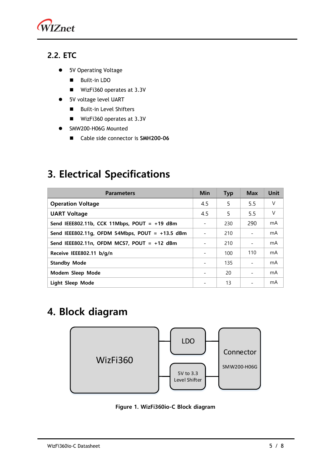

#### <span id="page-4-0"></span>**2.2. ETC**

- ⚫ 5V Operating Voltage
	- Built-in LDO
	- WizFi360 operates at 3.3V
- ⚫ 5V voltage level UART
	- Built-in Level Shifters
	- WizFi360 operates at 3.3V
- ⚫ SMW200-H06G Mounted
	- ◼ Cable side connector is **SMH200-06**

#### <span id="page-4-1"></span>**3. Electrical Specifications**

| <b>Parameters</b>                               | <b>Min</b> | <b>Typ</b> | <b>Max</b> | Unit |
|-------------------------------------------------|------------|------------|------------|------|
| <b>Operation Voltage</b>                        |            | 5          | 5.5        | V    |
| <b>UART Voltage</b>                             | 4.5        | 5          | 5.5        | V    |
| Send IEEE802.11b, CCK 11Mbps, POUT = +19 dBm    |            | 230        | 290        | mA   |
| Send IEEE802.11g, OFDM 54Mbps, POUT = +13.5 dBm |            | 210        |            | mA   |
| Send IEEE802.11n, OFDM MCS7, POUT = $+12$ dBm   |            | 210        |            | mA   |
| Receive IEEE802.11 b/g/n                        |            | 100        | 110        | mA   |
| <b>Standby Mode</b>                             |            | 135        |            | mA   |
| Modem Sleep Mode                                |            | 20         |            | mA   |
| Light Sleep Mode                                |            | 13         |            | mA   |

### <span id="page-4-2"></span>**4. Block diagram**



**Figure 1. WizFi360io-C Block diagram**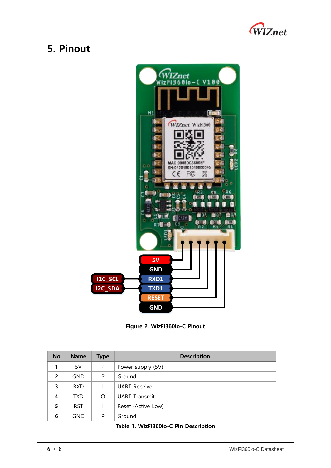

# <span id="page-5-0"></span>**5. Pinout**



**Figure 2. WizFi360io-C Pinout**

| <b>No</b>     | <b>Name</b> | Type | <b>Description</b>   |
|---------------|-------------|------|----------------------|
|               | 5V          | P    | Power supply (5V)    |
| $\mathfrak z$ | <b>GND</b>  | P    | Ground               |
| 3             | <b>RXD</b>  |      | <b>UART Receive</b>  |
| 4             | <b>TXD</b>  | O    | <b>UART Transmit</b> |
| 5             | <b>RST</b>  |      | Reset (Active Low)   |
| 6             | <b>GND</b>  | P    | Ground               |

#### **Table 1. WizFi360io-C Pin Description**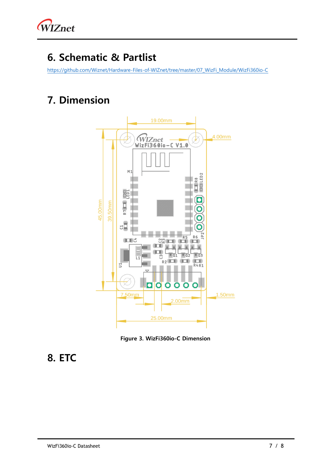

### <span id="page-6-0"></span>**6. Schematic & Partlist**

[https://github.com/Wiznet/Hardware-Files-of-WIZnet/tree/master/07\\_WizFi\\_Module/WizFi360io-C](https://github.com/Wiznet/Hardware-Files-of-WIZnet/tree/master/07_WizFi_Module/WizFi360io-C)

## <span id="page-6-1"></span>**7. Dimension**



**Figure 3. WizFi360io-C Dimension**

### <span id="page-6-2"></span>**8. ETC**